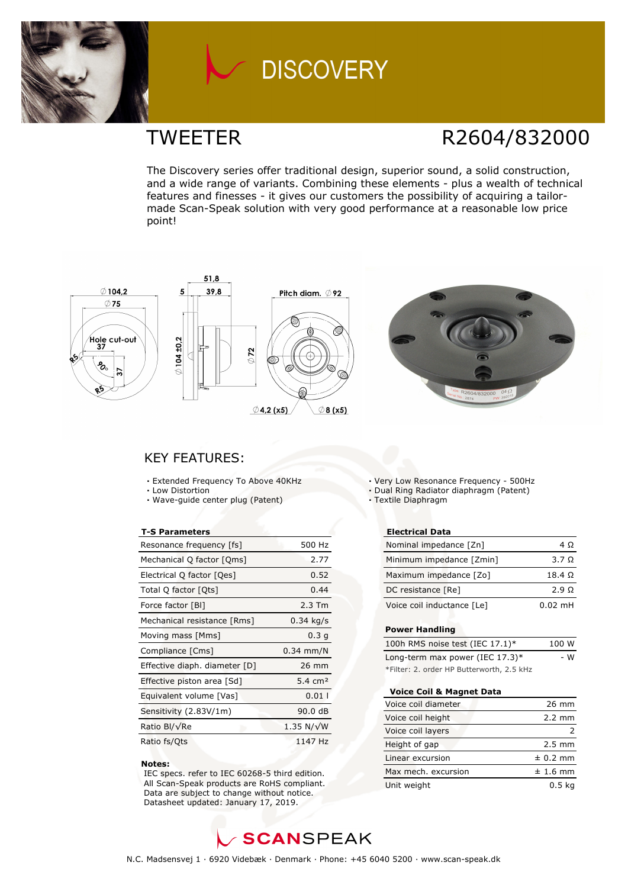

### TWEETER R2604/832000

The Discovery series offer traditional design, superior sound, a solid construction, and a wide range of variants. Combining these elements - plus a wealth of technical features and finesses - it gives our customers the possibility of acquiring a tailormade Scan-Speak solution with very good performance at a reasonable low price point!









### KEY FEATURES:

- **·** Extended Frequency To Above 40KHz
- **·** Low Distortion
- **·** Wave-guide center plug (Patent)

#### **T-S Parameters**

| Resonance frequency [fs]      | 500 Hz             |
|-------------------------------|--------------------|
| Mechanical Q factor [Qms]     | 2.77               |
| Electrical Q factor [Qes]     | 0.52               |
| Total Q factor [Qts]          | 0.44               |
| Force factor [BI]             | $2.3$ Tm           |
| Mechanical resistance [Rms]   | $0.34$ kg/s        |
| Moving mass [Mms]             | 0.3 <sub>q</sub>   |
| Compliance [Cms]              | $0.34$ mm/N        |
| Effective diaph. diameter [D] | 26 mm              |
| Effective piston area [Sd]    | 5.4 $cm2$          |
| Equivalent volume [Vas]       | 0.011              |
| Sensitivity (2.83V/1m)        | 90.0 dB            |
| Ratio Bl/√Re                  | 1.35 N/ $\sqrt{W}$ |
| Ratio fs/Qts                  | 1147 Hz            |

#### **Notes:**

 IEC specs. refer to IEC 60268-5 third edition. All Scan-Speak products are RoHS compliant. Data are subject to change without notice. Datasheet updated: January 17, 2019.

**·** Very Low Resonance Frequency - 500Hz

- **·** Dual Ring Radiator diaphragm (Patent)
- **·** Textile Diaphragm

### **Electrical Data**

| Nominal impedance [Zn]     | $4\Omega$      |
|----------------------------|----------------|
| Minimum impedance [Zmin]   | $3.7 \Omega$   |
| Maximum impedance [Zo]     | $18.4\ \Omega$ |
| DC resistance [Re]         | $2.9 \Omega$   |
| Voice coil inductance [Le] | $0.02$ mH      |

### **Power Handling**

| 100h RMS noise test (IEC 17.1)*           | 100 W |
|-------------------------------------------|-------|
| Long-term max power (IEC $17.3$ )*        | - W   |
| *Filter: 2. order HP Butterworth, 2.5 kHz |       |

#### **Voice Coil & Magnet Data**

| Voice coil diameter | 26 mm            |
|---------------------|------------------|
| Voice coil height   | $2.2 \text{ mm}$ |
| Voice coil layers   |                  |
| Height of gap       | $2.5 \text{ mm}$ |
| Linear excursion    | $± 0.2$ mm       |
| Max mech, excursion | $± 1.6$ mm       |
| Unit weight         | 0.5 <sub>k</sub> |